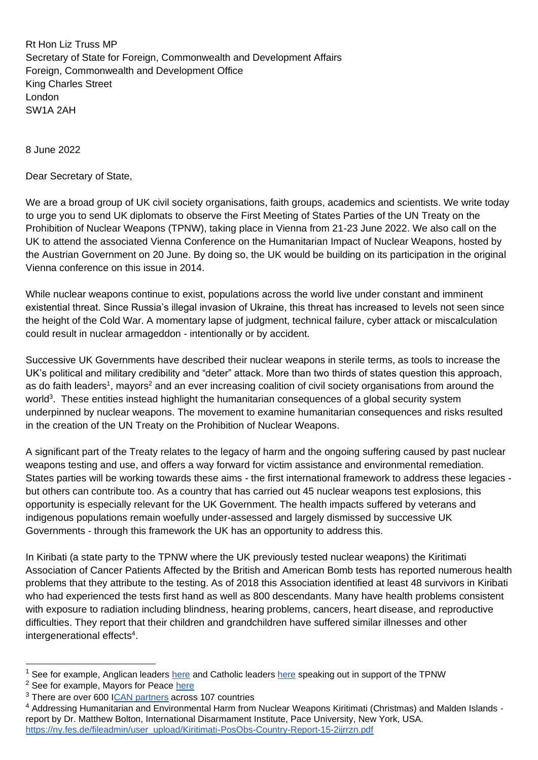Rt Hon Liz Truss MP Secretary of State for Foreign, Commonwealth and Development Affairs Foreign, Commonwealth and Development Office King Charles Street London SW1A 2AH

8 June 2022

Dear Secretary of State,

We are a broad group of UK civil society organisations, faith groups, academics and scientists. We write today to urge you to send UK diplomats to observe the First Meeting of States Parties of the UN Treaty on the Prohibition of Nuclear Weapons (TPNW), taking place in Vienna from 21-23 June 2022. We also call on the UK to attend the associated Vienna Conference on the Humanitarian Impact of Nuclear Weapons, hosted by the Austrian Government on 20 June. By doing so, the UK would be building on its participation in the original Vienna conference on this issue in 2014.

While nuclear weapons continue to exist, populations across the world live under constant and imminent existential threat. Since Russia's illegal invasion of Ukraine, this threat has increased to levels not seen since the height of the Cold War. A momentary lapse of judgment, technical failure, cyber attack or miscalculation could result in nuclear armageddon - intentionally or by accident.

Successive UK Governments have described their nuclear weapons in sterile terms, as tools to increase the UK's political and military credibility and "deter" attack. More than two thirds of states question this approach, as do faith leaders<sup>1</sup>, mayors<sup>2</sup> and an ever increasing coalition of civil society organisations from around the world<sup>3</sup>. These entities instead highlight the humanitarian consequences of a global security system underpinned by nuclear weapons. The movement to examine humanitarian consequences and risks resulted in the creation of the UN Treaty on the Prohibition of Nuclear Weapons.

A significant part of the Treaty relates to the legacy of harm and the ongoing suffering caused by past nuclear weapons testing and use, and offers a way forward for victim assistance and environmental remediation. States parties will be working towards these aims - the first international framework to address these legacies but others can contribute too. As a country that has carried out 45 nuclear weapons test explosions, this opportunity is especially relevant for the UK Government. The health impacts suffered by veterans and indigenous populations remain woefully under-assessed and largely dismissed by successive UK Governments - through this framework the UK has an opportunity to address this.

In Kiribati (a state party to the TPNW where the UK previously tested nuclear weapons) the Kiritimati Association of Cancer Patients Affected by the British and American Bomb tests has reported numerous health problems that they attribute to the testing. As of 2018 this Association identified at least 48 survivors in Kiribati who had experienced the tests first hand as well as 800 descendants. Many have health problems consistent with exposure to radiation including blindness, hearing problems, cancers, heart disease, and reproductive difficulties. They report that their children and grandchildren have suffered similar illnesses and other intergenerational effects<sup>4</sup>.

<sup>&</sup>lt;sup>1</sup> See for example, Anglican leaders [here](https://www.vaticannews.va/en/church/news/2021-01/uk-bishops-hail-nuclear-weapon-ban-treaty-as-historic-milestone.html) and Catholic leaders here speaking out in support of the TPNW

<sup>&</sup>lt;sup>2</sup> See for example, Mayors for Peace [here](https://www.pressenza.com/2021/12/open-letter-from-mayors-for-peace-to-npt-states-parties/)

<sup>&</sup>lt;sup>3</sup> There are over 600 [ICAN partners](https://www.icanw.org/partners) across 107 countries

<sup>4</sup> Addressing Humanitarian and Environmental Harm from Nuclear Weapons Kiritimati (Christmas) and Malden Islands report by Dr. Matthew Bolton, International Disarmament Institute, Pace University, New York, USA. [https://ny.fes.de/fileadmin/user\\_upload/Kiritimati-PosObs-Country-Report-15-2ijrrzn.pdf](https://ny.fes.de/fileadmin/user_upload/Kiritimati-PosObs-Country-Report-15-2ijrrzn.pdf)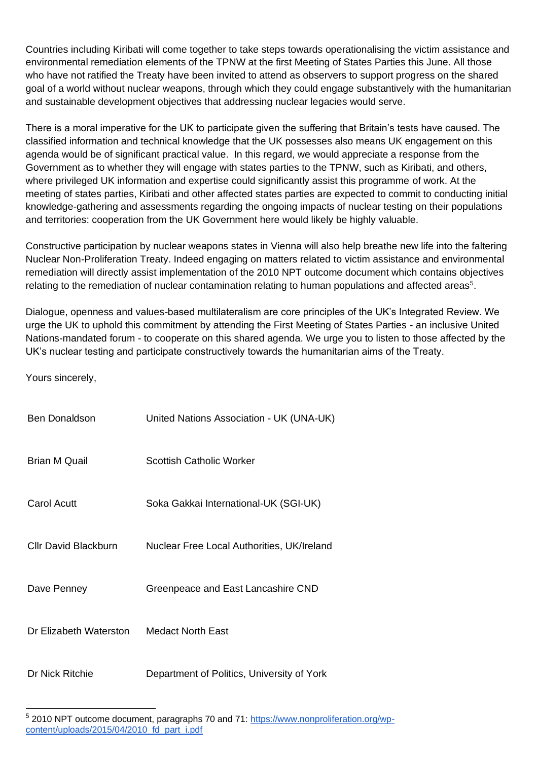Countries including Kiribati will come together to take steps towards operationalising the victim assistance and environmental remediation elements of the TPNW at the first Meeting of States Parties this June. All those who have not ratified the Treaty have been invited to attend as observers to support progress on the shared goal of a world without nuclear weapons, through which they could engage substantively with the humanitarian and sustainable development objectives that addressing nuclear legacies would serve.

There is a moral imperative for the UK to participate given the suffering that Britain's tests have caused. The classified information and technical knowledge that the UK possesses also means UK engagement on this agenda would be of significant practical value. In this regard, we would appreciate a response from the Government as to whether they will engage with states parties to the TPNW, such as Kiribati, and others, where privileged UK information and expertise could significantly assist this programme of work. At the meeting of states parties, Kiribati and other affected states parties are expected to commit to conducting initial knowledge-gathering and assessments regarding the ongoing impacts of nuclear testing on their populations and territories: cooperation from the UK Government here would likely be highly valuable.

Constructive participation by nuclear weapons states in Vienna will also help breathe new life into the faltering Nuclear Non-Proliferation Treaty. Indeed engaging on matters related to victim assistance and environmental remediation will directly assist implementation of the 2010 NPT outcome document which contains objectives relating to the remediation of nuclear contamination relating to human populations and affected areas<sup>5</sup>.

Dialogue, openness and values-based multilateralism are core principles of the UK's Integrated Review. We urge the UK to uphold this commitment by attending the First Meeting of States Parties - an inclusive United Nations-mandated forum - to cooperate on this shared agenda. We urge you to listen to those affected by the UK's nuclear testing and participate constructively towards the humanitarian aims of the Treaty.

Yours sincerely,

| <b>Ben Donaldson</b>        | United Nations Association - UK (UNA-UK)   |
|-----------------------------|--------------------------------------------|
| <b>Brian M Quail</b>        | <b>Scottish Catholic Worker</b>            |
| Carol Acutt                 | Soka Gakkai International-UK (SGI-UK)      |
| <b>CIIr David Blackburn</b> | Nuclear Free Local Authorities, UK/Ireland |
| Dave Penney                 | Greenpeace and East Lancashire CND         |
| Dr Elizabeth Waterston      | Medact North East                          |
| Dr Nick Ritchie             | Department of Politics, University of York |

<sup>&</sup>lt;sup>5</sup> 2010 NPT outcome document, paragraphs 70 and 71: [https://www.nonproliferation.org/wp](https://www.nonproliferation.org/wp-content/uploads/2015/04/2010_fd_part_i.pdf)content/uploads/2015/04/2010\_td\_part\_i.pdf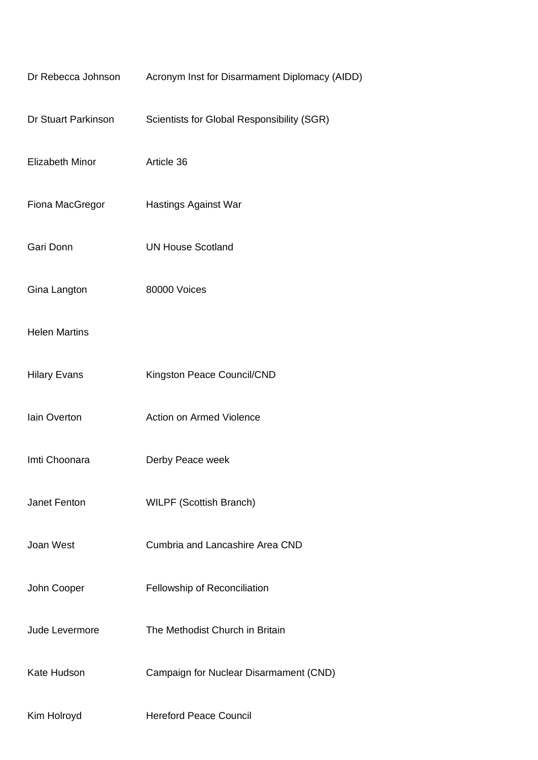| Dr Rebecca Johnson     | Acronym Inst for Disarmament Diplomacy (AIDD) |
|------------------------|-----------------------------------------------|
| Dr Stuart Parkinson    | Scientists for Global Responsibility (SGR)    |
| <b>Elizabeth Minor</b> | Article 36                                    |
| Fiona MacGregor        | <b>Hastings Against War</b>                   |
| Gari Donn              | <b>UN House Scotland</b>                      |
| Gina Langton           | 80000 Voices                                  |
| <b>Helen Martins</b>   |                                               |
| <b>Hilary Evans</b>    | Kingston Peace Council/CND                    |
| lain Overton           | Action on Armed Violence                      |
| Imti Choonara          | Derby Peace week                              |
| Janet Fenton           | <b>WILPF (Scottish Branch)</b>                |
| Joan West              | Cumbria and Lancashire Area CND               |
| John Cooper            | Fellowship of Reconciliation                  |
| Jude Levermore         | The Methodist Church in Britain               |
| Kate Hudson            | Campaign for Nuclear Disarmament (CND)        |
| Kim Holroyd            | <b>Hereford Peace Council</b>                 |